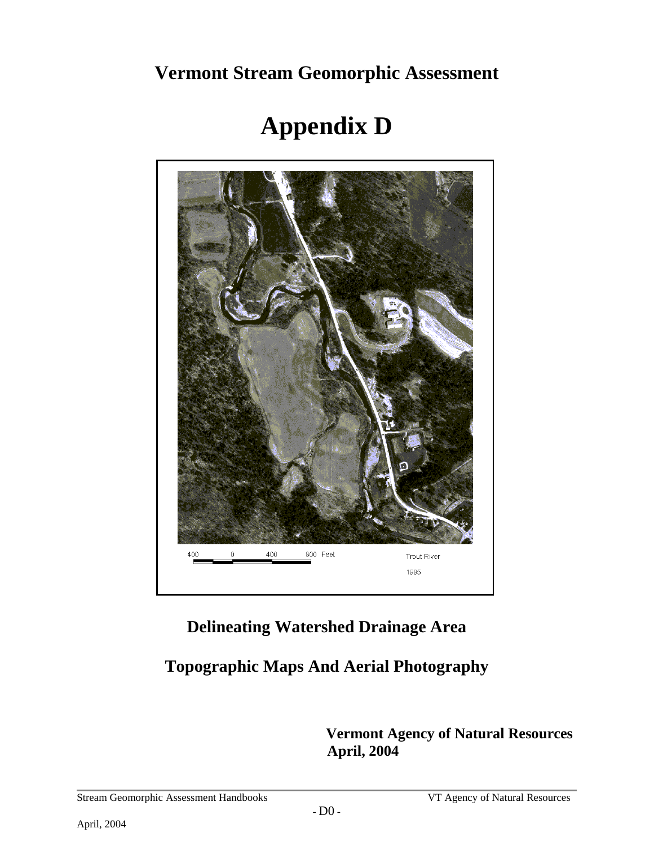**Vermont Stream Geomorphic Assessment** 

# **Appendix D**



# **Delineating Watershed Drainage Area**

# **Topographic Maps And Aerial Photography**

 **Vermont Agency of Natural Resources April, 2004**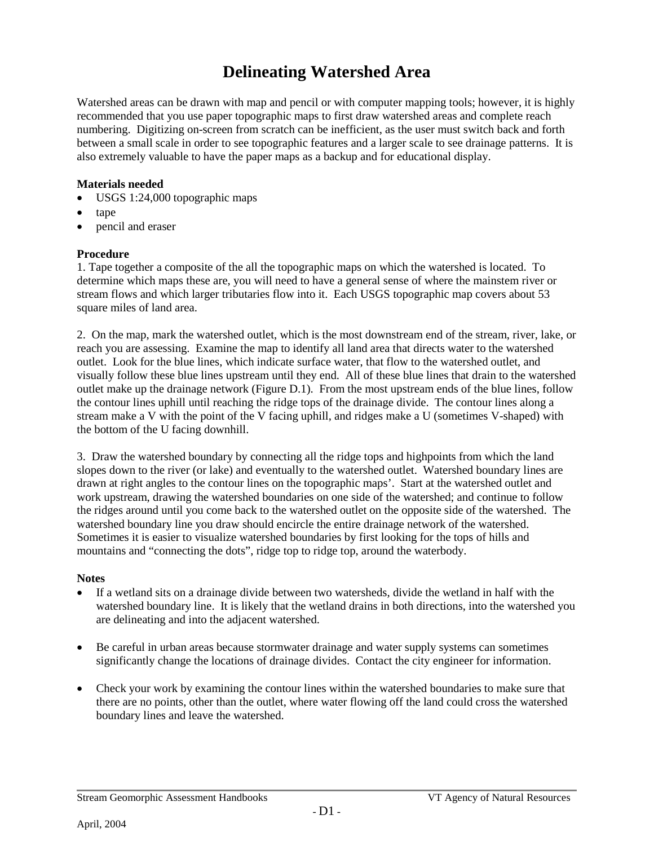# **Delineating Watershed Area**

Watershed areas can be drawn with map and pencil or with computer mapping tools; however, it is highly recommended that you use paper topographic maps to first draw watershed areas and complete reach numbering. Digitizing on-screen from scratch can be inefficient, as the user must switch back and forth between a small scale in order to see topographic features and a larger scale to see drainage patterns. It is also extremely valuable to have the paper maps as a backup and for educational display.

#### **Materials needed**

- USGS 1:24,000 topographic maps
- tape
- pencil and eraser

#### **Procedure**

1. Tape together a composite of the all the topographic maps on which the watershed is located. To determine which maps these are, you will need to have a general sense of where the mainstem river or stream flows and which larger tributaries flow into it. Each USGS topographic map covers about 53 square miles of land area.

2. On the map, mark the watershed outlet, which is the most downstream end of the stream, river, lake, or reach you are assessing. Examine the map to identify all land area that directs water to the watershed outlet. Look for the blue lines, which indicate surface water, that flow to the watershed outlet, and visually follow these blue lines upstream until they end. All of these blue lines that drain to the watershed outlet make up the drainage network (Figure D.1). From the most upstream ends of the blue lines, follow the contour lines uphill until reaching the ridge tops of the drainage divide. The contour lines along a stream make a V with the point of the V facing uphill, and ridges make a U (sometimes V-shaped) with the bottom of the U facing downhill.

3. Draw the watershed boundary by connecting all the ridge tops and highpoints from which the land slopes down to the river (or lake) and eventually to the watershed outlet. Watershed boundary lines are drawn at right angles to the contour lines on the topographic maps'. Start at the watershed outlet and work upstream, drawing the watershed boundaries on one side of the watershed; and continue to follow the ridges around until you come back to the watershed outlet on the opposite side of the watershed. The watershed boundary line you draw should encircle the entire drainage network of the watershed. Sometimes it is easier to visualize watershed boundaries by first looking for the tops of hills and mountains and "connecting the dots", ridge top to ridge top, around the waterbody.

#### **Notes**

- If a wetland sits on a drainage divide between two watersheds, divide the wetland in half with the watershed boundary line. It is likely that the wetland drains in both directions, into the watershed you are delineating and into the adjacent watershed.
- Be careful in urban areas because stormwater drainage and water supply systems can sometimes significantly change the locations of drainage divides. Contact the city engineer for information.
- Check your work by examining the contour lines within the watershed boundaries to make sure that there are no points, other than the outlet, where water flowing off the land could cross the watershed boundary lines and leave the watershed.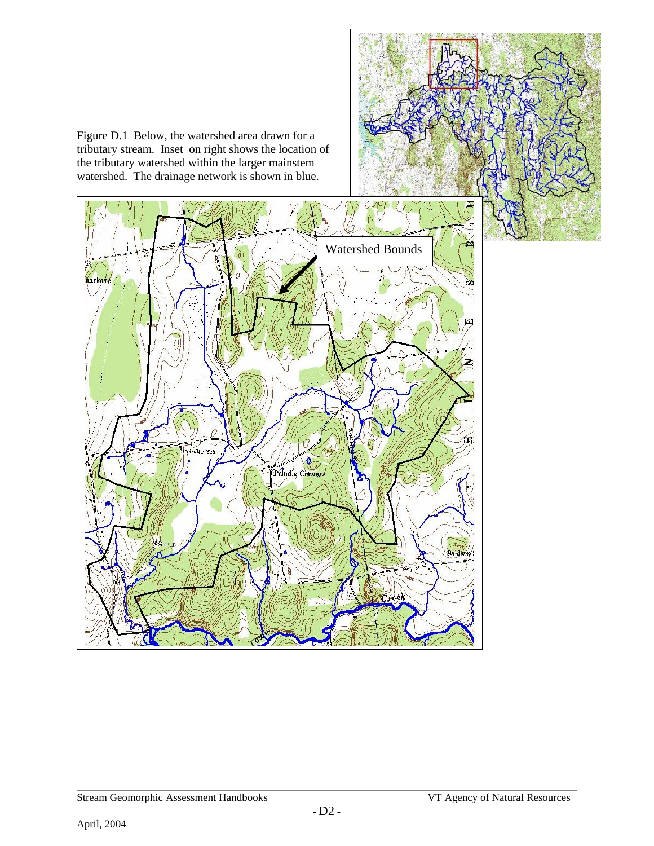Figure D.1 Below, the watershed area drawn for a tributary stream. Inset on right shows the location of the tributary watershed within the larger mainstem watershed. The drainage network is shown in blue.

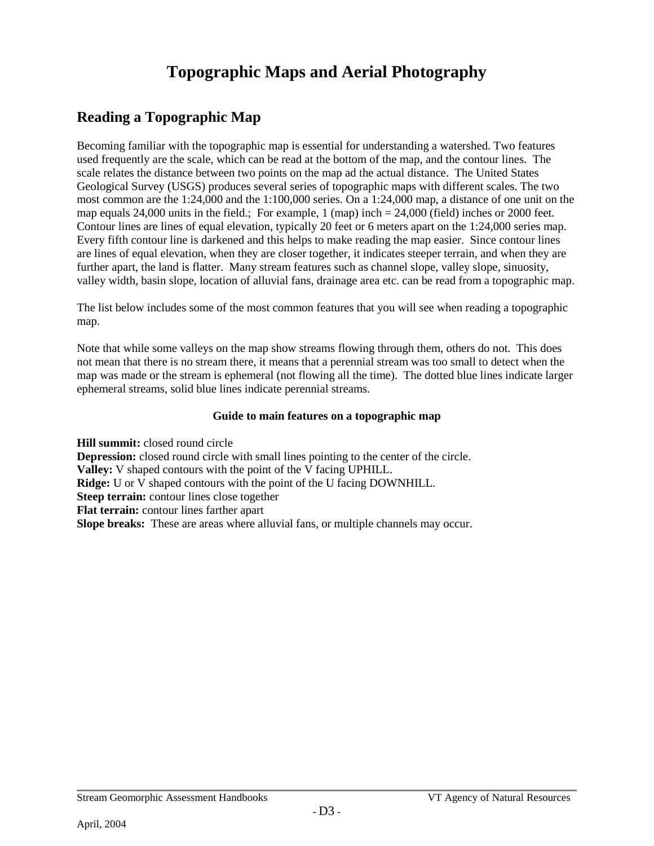# **Topographic Maps and Aerial Photography**

## **Reading a Topographic Map**

Becoming familiar with the topographic map is essential for understanding a watershed. Two features used frequently are the scale, which can be read at the bottom of the map, and the contour lines. The scale relates the distance between two points on the map ad the actual distance. The United States Geological Survey (USGS) produces several series of topographic maps with different scales. The two most common are the 1:24,000 and the 1:100,000 series. On a 1:24,000 map, a distance of one unit on the map equals 24,000 units in the field.; For example, 1 (map) inch = 24,000 (field) inches or 2000 feet. Contour lines are lines of equal elevation, typically 20 feet or 6 meters apart on the 1:24,000 series map. Every fifth contour line is darkened and this helps to make reading the map easier. Since contour lines are lines of equal elevation, when they are closer together, it indicates steeper terrain, and when they are further apart, the land is flatter. Many stream features such as channel slope, valley slope, sinuosity, valley width, basin slope, location of alluvial fans, drainage area etc. can be read from a topographic map.

The list below includes some of the most common features that you will see when reading a topographic map.

Note that while some valleys on the map show streams flowing through them, others do not. This does not mean that there is no stream there, it means that a perennial stream was too small to detect when the map was made or the stream is ephemeral (not flowing all the time). The dotted blue lines indicate larger ephemeral streams, solid blue lines indicate perennial streams.

#### **Guide to main features on a topographic map**

**Hill summit:** closed round circle **Depression:** closed round circle with small lines pointing to the center of the circle. **Valley:** V shaped contours with the point of the V facing UPHILL. **Ridge:** U or V shaped contours with the point of the U facing DOWNHILL. **Steep terrain:** contour lines close together **Flat terrain:** contour lines farther apart **Slope breaks:** These are areas where alluvial fans, or multiple channels may occur.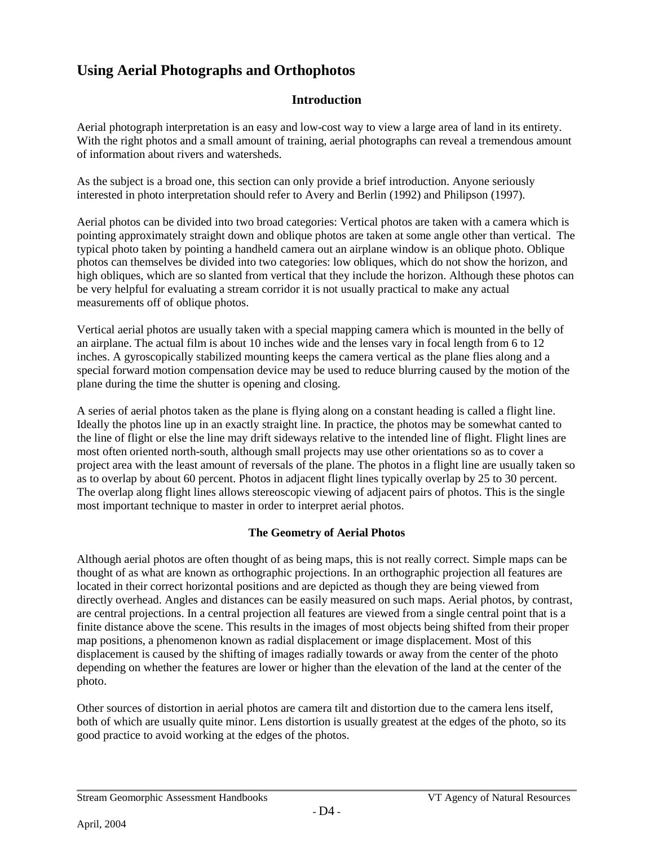### **Using Aerial Photographs and Orthophotos**

### **Introduction**

Aerial photograph interpretation is an easy and low-cost way to view a large area of land in its entirety. With the right photos and a small amount of training, aerial photographs can reveal a tremendous amount of information about rivers and watersheds.

As the subject is a broad one, this section can only provide a brief introduction. Anyone seriously interested in photo interpretation should refer to Avery and Berlin (1992) and Philipson (1997).

Aerial photos can be divided into two broad categories: Vertical photos are taken with a camera which is pointing approximately straight down and oblique photos are taken at some angle other than vertical. The typical photo taken by pointing a handheld camera out an airplane window is an oblique photo. Oblique photos can themselves be divided into two categories: low obliques, which do not show the horizon, and high obliques, which are so slanted from vertical that they include the horizon. Although these photos can be very helpful for evaluating a stream corridor it is not usually practical to make any actual measurements off of oblique photos.

Vertical aerial photos are usually taken with a special mapping camera which is mounted in the belly of an airplane. The actual film is about 10 inches wide and the lenses vary in focal length from 6 to 12 inches. A gyroscopically stabilized mounting keeps the camera vertical as the plane flies along and a special forward motion compensation device may be used to reduce blurring caused by the motion of the plane during the time the shutter is opening and closing.

A series of aerial photos taken as the plane is flying along on a constant heading is called a flight line. Ideally the photos line up in an exactly straight line. In practice, the photos may be somewhat canted to the line of flight or else the line may drift sideways relative to the intended line of flight. Flight lines are most often oriented north-south, although small projects may use other orientations so as to cover a project area with the least amount of reversals of the plane. The photos in a flight line are usually taken so as to overlap by about 60 percent. Photos in adjacent flight lines typically overlap by 25 to 30 percent. The overlap along flight lines allows stereoscopic viewing of adjacent pairs of photos. This is the single most important technique to master in order to interpret aerial photos.

#### **The Geometry of Aerial Photos**

Although aerial photos are often thought of as being maps, this is not really correct. Simple maps can be thought of as what are known as orthographic projections. In an orthographic projection all features are located in their correct horizontal positions and are depicted as though they are being viewed from directly overhead. Angles and distances can be easily measured on such maps. Aerial photos, by contrast, are central projections. In a central projection all features are viewed from a single central point that is a finite distance above the scene. This results in the images of most objects being shifted from their proper map positions, a phenomenon known as radial displacement or image displacement. Most of this displacement is caused by the shifting of images radially towards or away from the center of the photo depending on whether the features are lower or higher than the elevation of the land at the center of the photo.

Other sources of distortion in aerial photos are camera tilt and distortion due to the camera lens itself, both of which are usually quite minor. Lens distortion is usually greatest at the edges of the photo, so its good practice to avoid working at the edges of the photos.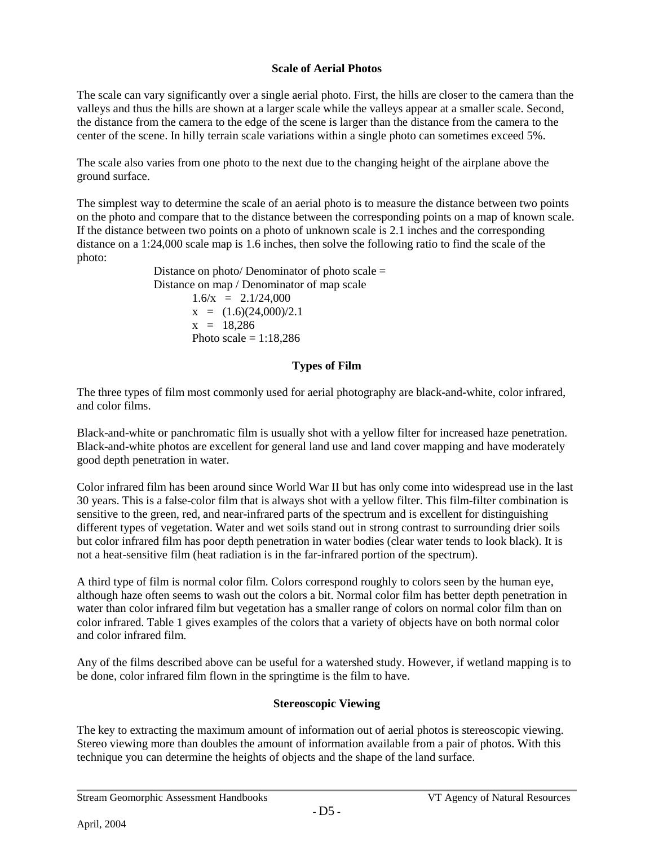#### **Scale of Aerial Photos**

The scale can vary significantly over a single aerial photo. First, the hills are closer to the camera than the valleys and thus the hills are shown at a larger scale while the valleys appear at a smaller scale. Second, the distance from the camera to the edge of the scene is larger than the distance from the camera to the center of the scene. In hilly terrain scale variations within a single photo can sometimes exceed 5%.

The scale also varies from one photo to the next due to the changing height of the airplane above the ground surface.

The simplest way to determine the scale of an aerial photo is to measure the distance between two points on the photo and compare that to the distance between the corresponding points on a map of known scale. If the distance between two points on a photo of unknown scale is 2.1 inches and the corresponding distance on a 1:24,000 scale map is 1.6 inches, then solve the following ratio to find the scale of the photo:

Distance on photo/ Denominator of photo scale  $=$ Distance on map / Denominator of map scale  $1.6/x = 2.1/24,000$  $x = (1.6)(24,000)/2.1$  $x = 18,286$ Photo scale  $= 1:18,286$ 

#### **Types of Film**

The three types of film most commonly used for aerial photography are black-and-white, color infrared, and color films.

Black-and-white or panchromatic film is usually shot with a yellow filter for increased haze penetration. Black-and-white photos are excellent for general land use and land cover mapping and have moderately good depth penetration in water.

Color infrared film has been around since World War II but has only come into widespread use in the last 30 years. This is a false-color film that is always shot with a yellow filter. This film-filter combination is sensitive to the green, red, and near-infrared parts of the spectrum and is excellent for distinguishing different types of vegetation. Water and wet soils stand out in strong contrast to surrounding drier soils but color infrared film has poor depth penetration in water bodies (clear water tends to look black). It is not a heat-sensitive film (heat radiation is in the far-infrared portion of the spectrum).

A third type of film is normal color film. Colors correspond roughly to colors seen by the human eye, although haze often seems to wash out the colors a bit. Normal color film has better depth penetration in water than color infrared film but vegetation has a smaller range of colors on normal color film than on color infrared. Table 1 gives examples of the colors that a variety of objects have on both normal color and color infrared film.

Any of the films described above can be useful for a watershed study. However, if wetland mapping is to be done, color infrared film flown in the springtime is the film to have.

#### **Stereoscopic Viewing**

The key to extracting the maximum amount of information out of aerial photos is stereoscopic viewing. Stereo viewing more than doubles the amount of information available from a pair of photos. With this technique you can determine the heights of objects and the shape of the land surface.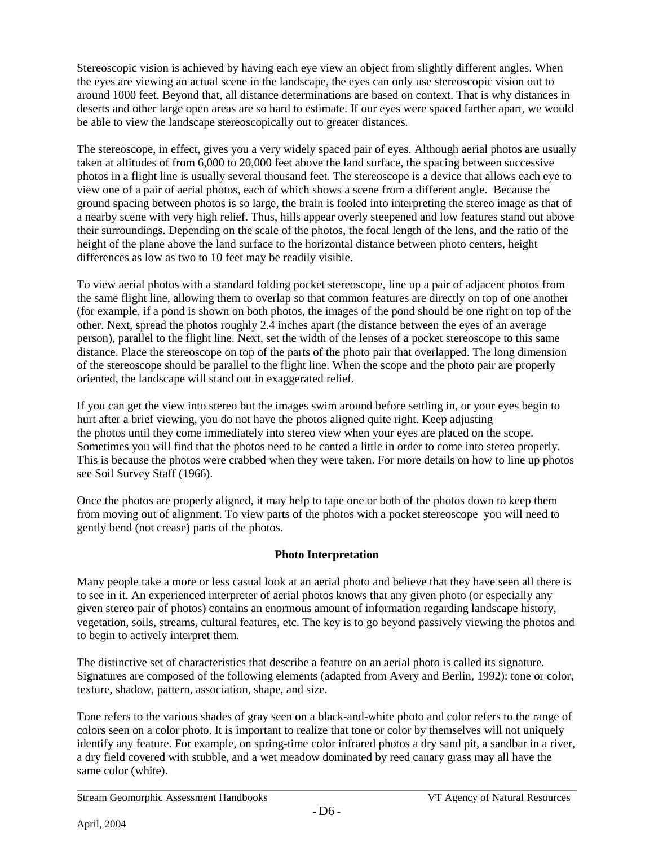Stereoscopic vision is achieved by having each eye view an object from slightly different angles. When the eyes are viewing an actual scene in the landscape, the eyes can only use stereoscopic vision out to around 1000 feet. Beyond that, all distance determinations are based on context. That is why distances in deserts and other large open areas are so hard to estimate. If our eyes were spaced farther apart, we would be able to view the landscape stereoscopically out to greater distances.

The stereoscope, in effect, gives you a very widely spaced pair of eyes. Although aerial photos are usually taken at altitudes of from 6,000 to 20,000 feet above the land surface, the spacing between successive photos in a flight line is usually several thousand feet. The stereoscope is a device that allows each eye to view one of a pair of aerial photos, each of which shows a scene from a different angle. Because the ground spacing between photos is so large, the brain is fooled into interpreting the stereo image as that of a nearby scene with very high relief. Thus, hills appear overly steepened and low features stand out above their surroundings. Depending on the scale of the photos, the focal length of the lens, and the ratio of the height of the plane above the land surface to the horizontal distance between photo centers, height differences as low as two to 10 feet may be readily visible.

To view aerial photos with a standard folding pocket stereoscope, line up a pair of adjacent photos from the same flight line, allowing them to overlap so that common features are directly on top of one another (for example, if a pond is shown on both photos, the images of the pond should be one right on top of the other. Next, spread the photos roughly 2.4 inches apart (the distance between the eyes of an average person), parallel to the flight line. Next, set the width of the lenses of a pocket stereoscope to this same distance. Place the stereoscope on top of the parts of the photo pair that overlapped. The long dimension of the stereoscope should be parallel to the flight line. When the scope and the photo pair are properly oriented, the landscape will stand out in exaggerated relief.

If you can get the view into stereo but the images swim around before settling in, or your eyes begin to hurt after a brief viewing, you do not have the photos aligned quite right. Keep adjusting the photos until they come immediately into stereo view when your eyes are placed on the scope. Sometimes you will find that the photos need to be canted a little in order to come into stereo properly. This is because the photos were crabbed when they were taken. For more details on how to line up photos see Soil Survey Staff (1966).

Once the photos are properly aligned, it may help to tape one or both of the photos down to keep them from moving out of alignment. To view parts of the photos with a pocket stereoscope you will need to gently bend (not crease) parts of the photos.

#### **Photo Interpretation**

Many people take a more or less casual look at an aerial photo and believe that they have seen all there is to see in it. An experienced interpreter of aerial photos knows that any given photo (or especially any given stereo pair of photos) contains an enormous amount of information regarding landscape history, vegetation, soils, streams, cultural features, etc. The key is to go beyond passively viewing the photos and to begin to actively interpret them.

The distinctive set of characteristics that describe a feature on an aerial photo is called its signature. Signatures are composed of the following elements (adapted from Avery and Berlin, 1992): tone or color, texture, shadow, pattern, association, shape, and size.

Tone refers to the various shades of gray seen on a black-and-white photo and color refers to the range of colors seen on a color photo. It is important to realize that tone or color by themselves will not uniquely identify any feature. For example, on spring-time color infrared photos a dry sand pit, a sandbar in a river, a dry field covered with stubble, and a wet meadow dominated by reed canary grass may all have the same color (white).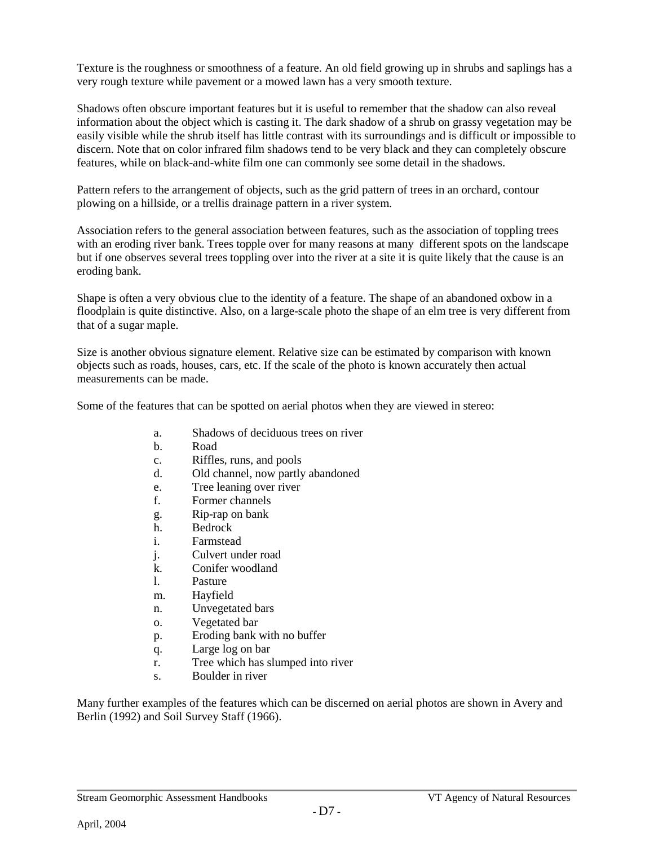Texture is the roughness or smoothness of a feature. An old field growing up in shrubs and saplings has a very rough texture while pavement or a mowed lawn has a very smooth texture.

Shadows often obscure important features but it is useful to remember that the shadow can also reveal information about the object which is casting it. The dark shadow of a shrub on grassy vegetation may be easily visible while the shrub itself has little contrast with its surroundings and is difficult or impossible to discern. Note that on color infrared film shadows tend to be very black and they can completely obscure features, while on black-and-white film one can commonly see some detail in the shadows.

Pattern refers to the arrangement of objects, such as the grid pattern of trees in an orchard, contour plowing on a hillside, or a trellis drainage pattern in a river system.

Association refers to the general association between features, such as the association of toppling trees with an eroding river bank. Trees topple over for many reasons at many different spots on the landscape but if one observes several trees toppling over into the river at a site it is quite likely that the cause is an eroding bank.

Shape is often a very obvious clue to the identity of a feature. The shape of an abandoned oxbow in a floodplain is quite distinctive. Also, on a large-scale photo the shape of an elm tree is very different from that of a sugar maple.

Size is another obvious signature element. Relative size can be estimated by comparison with known objects such as roads, houses, cars, etc. If the scale of the photo is known accurately then actual measurements can be made.

Some of the features that can be spotted on aerial photos when they are viewed in stereo:

- a. Shadows of deciduous trees on river
- b. Road
- c. Riffles, runs, and pools
- d. Old channel, now partly abandoned
- e. Tree leaning over river
- f. Former channels
- g. Rip-rap on bank
- h. Bedrock
- i. Farmstead
- j. Culvert under road
- k. Conifer woodland
- l. Pasture
- m. Hayfield
- n. Unvegetated bars
- o. Vegetated bar
- p. Eroding bank with no buffer
- q. Large log on bar
- r. Tree which has slumped into river
- s. Boulder in river

Many further examples of the features which can be discerned on aerial photos are shown in Avery and Berlin (1992) and Soil Survey Staff (1966).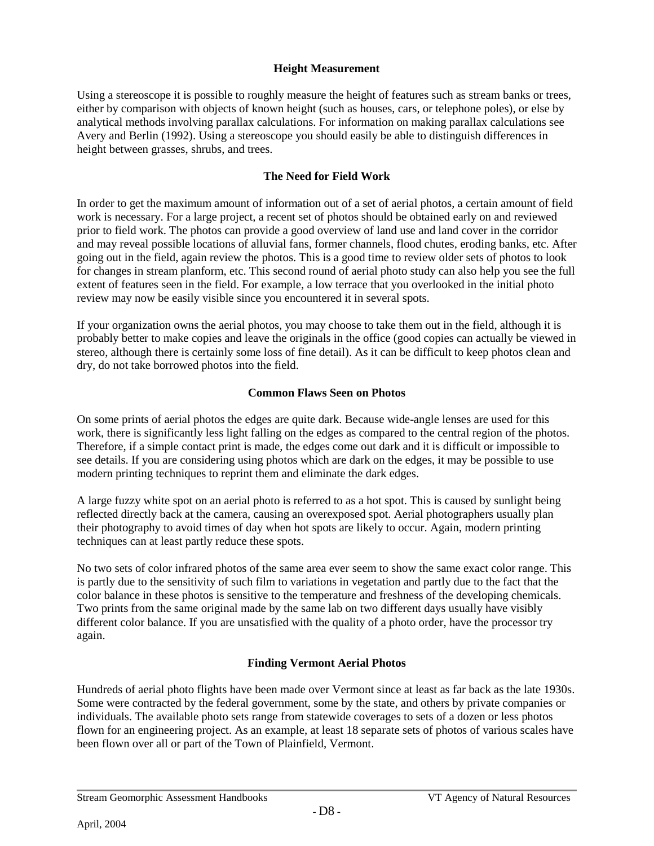#### **Height Measurement**

Using a stereoscope it is possible to roughly measure the height of features such as stream banks or trees, either by comparison with objects of known height (such as houses, cars, or telephone poles), or else by analytical methods involving parallax calculations. For information on making parallax calculations see Avery and Berlin (1992). Using a stereoscope you should easily be able to distinguish differences in height between grasses, shrubs, and trees.

#### **The Need for Field Work**

In order to get the maximum amount of information out of a set of aerial photos, a certain amount of field work is necessary. For a large project, a recent set of photos should be obtained early on and reviewed prior to field work. The photos can provide a good overview of land use and land cover in the corridor and may reveal possible locations of alluvial fans, former channels, flood chutes, eroding banks, etc. After going out in the field, again review the photos. This is a good time to review older sets of photos to look for changes in stream planform, etc. This second round of aerial photo study can also help you see the full extent of features seen in the field. For example, a low terrace that you overlooked in the initial photo review may now be easily visible since you encountered it in several spots.

If your organization owns the aerial photos, you may choose to take them out in the field, although it is probably better to make copies and leave the originals in the office (good copies can actually be viewed in stereo, although there is certainly some loss of fine detail). As it can be difficult to keep photos clean and dry, do not take borrowed photos into the field.

#### **Common Flaws Seen on Photos**

On some prints of aerial photos the edges are quite dark. Because wide-angle lenses are used for this work, there is significantly less light falling on the edges as compared to the central region of the photos. Therefore, if a simple contact print is made, the edges come out dark and it is difficult or impossible to see details. If you are considering using photos which are dark on the edges, it may be possible to use modern printing techniques to reprint them and eliminate the dark edges.

A large fuzzy white spot on an aerial photo is referred to as a hot spot. This is caused by sunlight being reflected directly back at the camera, causing an overexposed spot. Aerial photographers usually plan their photography to avoid times of day when hot spots are likely to occur. Again, modern printing techniques can at least partly reduce these spots.

No two sets of color infrared photos of the same area ever seem to show the same exact color range. This is partly due to the sensitivity of such film to variations in vegetation and partly due to the fact that the color balance in these photos is sensitive to the temperature and freshness of the developing chemicals. Two prints from the same original made by the same lab on two different days usually have visibly different color balance. If you are unsatisfied with the quality of a photo order, have the processor try again.

#### **Finding Vermont Aerial Photos**

Hundreds of aerial photo flights have been made over Vermont since at least as far back as the late 1930s. Some were contracted by the federal government, some by the state, and others by private companies or individuals. The available photo sets range from statewide coverages to sets of a dozen or less photos flown for an engineering project. As an example, at least 18 separate sets of photos of various scales have been flown over all or part of the Town of Plainfield, Vermont.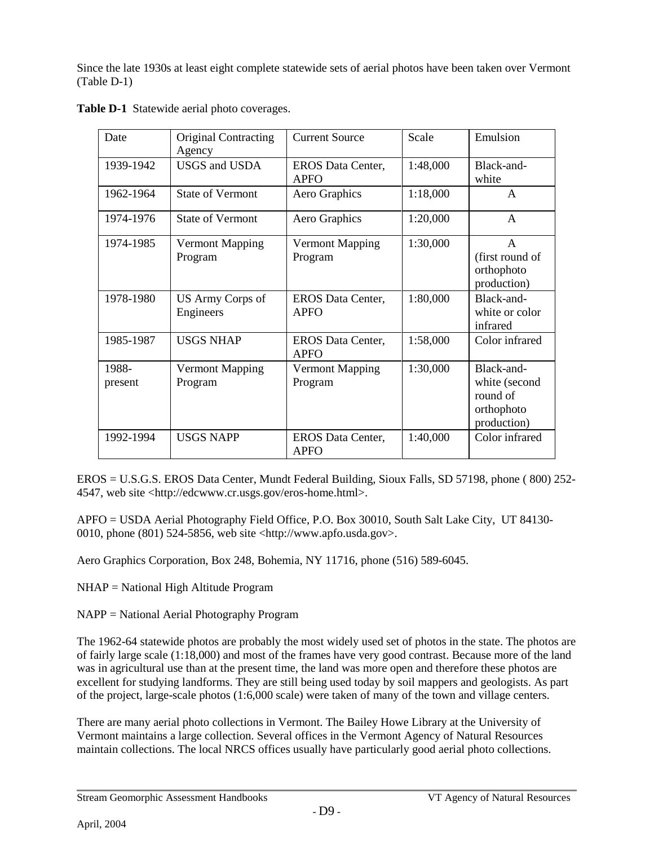Since the late 1930s at least eight complete statewide sets of aerial photos have been taken over Vermont (Table D-1)

| Date             | Original Contracting<br>Agency    | <b>Current Source</b>                   | Scale    | Emulsion                                                             |
|------------------|-----------------------------------|-----------------------------------------|----------|----------------------------------------------------------------------|
| 1939-1942        | <b>USGS</b> and <b>USDA</b>       | <b>EROS</b> Data Center,<br><b>APFO</b> | 1:48,000 | Black-and-<br>white                                                  |
| 1962-1964        | <b>State of Vermont</b>           | Aero Graphics                           | 1:18,000 | $\mathbf{A}$                                                         |
| 1974-1976        | <b>State of Vermont</b>           | Aero Graphics                           | 1:20,000 | A                                                                    |
| 1974-1985        | <b>Vermont Mapping</b><br>Program | Vermont Mapping<br>Program              | 1:30,000 | $\overline{A}$<br>(first round of<br>orthophoto<br>production)       |
| 1978-1980        | US Army Corps of<br>Engineers     | <b>EROS</b> Data Center,<br><b>APFO</b> | 1:80,000 | Black-and-<br>white or color<br>infrared                             |
| 1985-1987        | <b>USGS NHAP</b>                  | EROS Data Center,<br>APFO               | 1:58,000 | Color infrared                                                       |
| 1988-<br>present | <b>Vermont Mapping</b><br>Program | Vermont Mapping<br>Program              | 1:30,000 | Black-and-<br>white (second<br>round of<br>orthophoto<br>production) |
| 1992-1994        | <b>USGS NAPP</b>                  | <b>EROS</b> Data Center,<br><b>APFO</b> | 1:40,000 | Color infrared                                                       |

**Table D-1** Statewide aerial photo coverages.

EROS = U.S.G.S. EROS Data Center, Mundt Federal Building, Sioux Falls, SD 57198, phone ( 800) 252- 4547, web site <http://edcwww.cr.usgs.gov/eros-home.html>.

APFO = USDA Aerial Photography Field Office, P.O. Box 30010, South Salt Lake City, UT 84130- 0010, phone (801) 524-5856, web site <http://www.apfo.usda.gov>.

Aero Graphics Corporation, Box 248, Bohemia, NY 11716, phone (516) 589-6045.

NHAP = National High Altitude Program

NAPP = National Aerial Photography Program

The 1962-64 statewide photos are probably the most widely used set of photos in the state. The photos are of fairly large scale (1:18,000) and most of the frames have very good contrast. Because more of the land was in agricultural use than at the present time, the land was more open and therefore these photos are excellent for studying landforms. They are still being used today by soil mappers and geologists. As part of the project, large-scale photos (1:6,000 scale) were taken of many of the town and village centers.

There are many aerial photo collections in Vermont. The Bailey Howe Library at the University of Vermont maintains a large collection. Several offices in the Vermont Agency of Natural Resources maintain collections. The local NRCS offices usually have particularly good aerial photo collections.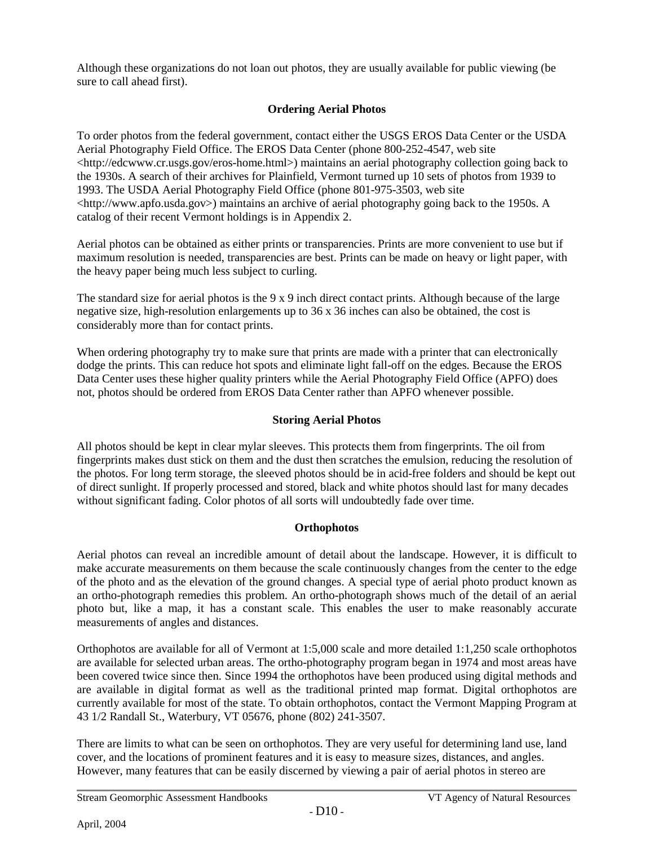Although these organizations do not loan out photos, they are usually available for public viewing (be sure to call ahead first).

### **Ordering Aerial Photos**

To order photos from the federal government, contact either the USGS EROS Data Center or the USDA Aerial Photography Field Office. The EROS Data Center (phone 800-252-4547, web site <http://edcwww.cr.usgs.gov/eros-home.html>) maintains an aerial photography collection going back to the 1930s. A search of their archives for Plainfield, Vermont turned up 10 sets of photos from 1939 to 1993. The USDA Aerial Photography Field Office (phone 801-975-3503, web site  $\langle$ http://www.apfo.usda.gov>) maintains an archive of aerial photography going back to the 1950s. A catalog of their recent Vermont holdings is in Appendix 2.

Aerial photos can be obtained as either prints or transparencies. Prints are more convenient to use but if maximum resolution is needed, transparencies are best. Prints can be made on heavy or light paper, with the heavy paper being much less subject to curling.

The standard size for aerial photos is the 9 x 9 inch direct contact prints. Although because of the large negative size, high-resolution enlargements up to 36 x 36 inches can also be obtained, the cost is considerably more than for contact prints.

When ordering photography try to make sure that prints are made with a printer that can electronically dodge the prints. This can reduce hot spots and eliminate light fall-off on the edges. Because the EROS Data Center uses these higher quality printers while the Aerial Photography Field Office (APFO) does not, photos should be ordered from EROS Data Center rather than APFO whenever possible.

#### **Storing Aerial Photos**

All photos should be kept in clear mylar sleeves. This protects them from fingerprints. The oil from fingerprints makes dust stick on them and the dust then scratches the emulsion, reducing the resolution of the photos. For long term storage, the sleeved photos should be in acid-free folders and should be kept out of direct sunlight. If properly processed and stored, black and white photos should last for many decades without significant fading. Color photos of all sorts will undoubtedly fade over time.

#### **Orthophotos**

Aerial photos can reveal an incredible amount of detail about the landscape. However, it is difficult to make accurate measurements on them because the scale continuously changes from the center to the edge of the photo and as the elevation of the ground changes. A special type of aerial photo product known as an ortho-photograph remedies this problem. An ortho-photograph shows much of the detail of an aerial photo but, like a map, it has a constant scale. This enables the user to make reasonably accurate measurements of angles and distances.

Orthophotos are available for all of Vermont at 1:5,000 scale and more detailed 1:1,250 scale orthophotos are available for selected urban areas. The ortho-photography program began in 1974 and most areas have been covered twice since then. Since 1994 the orthophotos have been produced using digital methods and are available in digital format as well as the traditional printed map format. Digital orthophotos are currently available for most of the state. To obtain orthophotos, contact the Vermont Mapping Program at 43 1/2 Randall St., Waterbury, VT 05676, phone (802) 241-3507.

There are limits to what can be seen on orthophotos. They are very useful for determining land use, land cover, and the locations of prominent features and it is easy to measure sizes, distances, and angles. However, many features that can be easily discerned by viewing a pair of aerial photos in stereo are